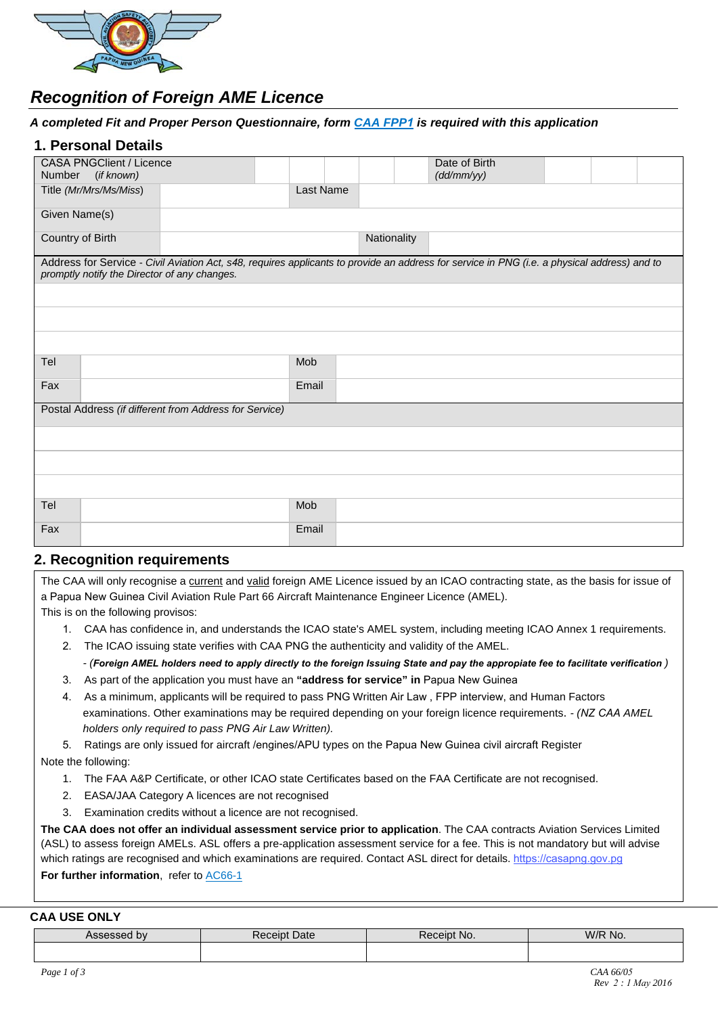

# *Recognition of Foreign AME Licence*

#### *A completed Fit and Proper Person Questionnaire, form [CAA FPP](https://casapng.gov.pg/wp-content/uploads/2017/09/CAA-FPP1_Fit-and-Proper-Person_Application-form.pdf)1 is required with this application*

#### **1. Personal Details**

| <b>CASA PNGClient / Licence</b><br>Number (if known)                                                                                                                                         |           |             | Date of Birth<br>(dd/mm/yy) |  |  |
|----------------------------------------------------------------------------------------------------------------------------------------------------------------------------------------------|-----------|-------------|-----------------------------|--|--|
| Title (Mr/Mrs/Ms/Miss)                                                                                                                                                                       | Last Name |             |                             |  |  |
| Given Name(s)                                                                                                                                                                                |           |             |                             |  |  |
| Country of Birth                                                                                                                                                                             |           | Nationality |                             |  |  |
| Address for Service - Civil Aviation Act, s48, requires applicants to provide an address for service in PNG (i.e. a physical address) and to<br>promptly notify the Director of any changes. |           |             |                             |  |  |
|                                                                                                                                                                                              |           |             |                             |  |  |
|                                                                                                                                                                                              |           |             |                             |  |  |
|                                                                                                                                                                                              |           |             |                             |  |  |
| Tel                                                                                                                                                                                          | Mob       |             |                             |  |  |
| Fax                                                                                                                                                                                          | Email     |             |                             |  |  |
| Postal Address (if different from Address for Service)                                                                                                                                       |           |             |                             |  |  |
|                                                                                                                                                                                              |           |             |                             |  |  |
|                                                                                                                                                                                              |           |             |                             |  |  |
|                                                                                                                                                                                              |           |             |                             |  |  |
| Tel                                                                                                                                                                                          | Mob       |             |                             |  |  |
| Fax                                                                                                                                                                                          | Email     |             |                             |  |  |

### **2. Recognition requirements**

| The CAA will only recognise a current and valid foreign AME Licence issued by an ICAO contracting state, as the basis for issue of |
|------------------------------------------------------------------------------------------------------------------------------------|
| a Papua New Guinea Civil Aviation Rule Part 66 Aircraft Maintenance Engineer Licence (AMEL).                                       |
| This is on the following provisos:                                                                                                 |

- 1. CAA has confidence in, and understands the ICAO state's AMEL system, including meeting ICAO Annex 1 requirements.
- 2. The ICAO issuing state verifies with CAA PNG the authenticity and validity of the AMEL.

- (Foreign AMEL holders need to apply directly to the foreign Issuing State and pay the appropiate fee to facilitate verification) 3. As part of the application you must have an **"address for service" in** Papua New Guinea

4. As a minimum, applicants will be required to pass PNG Written Air Law , FPP interview, and Human Factors examinations. Other examinations may be required depending on your foreign licence requirements. *- (NZ CAA AMEL holders only required to pass PNG Air Law Written).*

5. Ratings are only issued for aircraft /engines/APU types on the Papua New Guinea civil aircraft Register Note the following:

- 1. The FAA A&P Certificate, or other ICAO state Certificates based on the FAA Certificate are not recognised.
- 2. EASA/JAA Category A licences are not recognised
- 3. Examination credits without a licence are not recognised.

**The CAA does not offer an individual assessment service prior to application**. The CAA contracts Aviation Services Limited (ASL) to assess foreign AMELs. ASL offers a pre-application assessment service for a fee. This is not mandatory but will advise which ratings are recognised and which examinations are required. Contact ASL direct for detail[s.](http://www.aviation.co.nz/) <https://casapng.gov.pg> **For further information**, refer to **[AC66-1](https://casapng.gov.pg/wp-content/uploads/2018/06/ac-66_1-Aircraft-Maintenance-Engineer-Licensing-General.pdf)** 

#### **CAA USE ONLY**

| <b>by</b><br>- - | <b>Date</b><br>∍ınt | NG.<br>$\sim$ | W/R No. |
|------------------|---------------------|---------------|---------|
|                  |                     |               |         |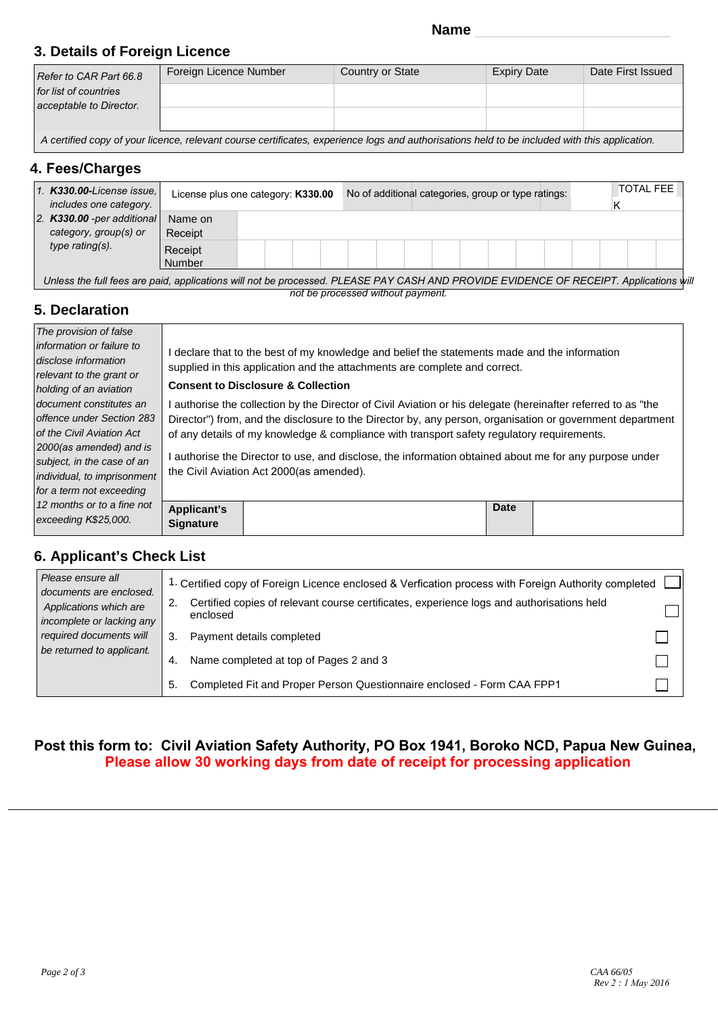# **3. Details of Foreign Licence**

| Refer to CAR Part 66.8  | Foreign Licence Number | Country or State | <b>Expiry Date</b> | Date First Issued |  |  |
|-------------------------|------------------------|------------------|--------------------|-------------------|--|--|
| for list of countries   |                        |                  |                    |                   |  |  |
| acceptable to Director. |                        |                  |                    |                   |  |  |
|                         |                        |                  | .                  |                   |  |  |

*A certified copy of your licence, relevant course certificates, experience logs and authorisations held to be included with this application.*

### **4. Fees/Charges**

| $\vert$ 1. <b>K330.00-License issue.</b><br>includes one category.       | License plus one category: K330.00 |  | No of additional categories, group or type ratings: |  |  |  |  | N | <b>TOTAL FEE</b> |  |
|--------------------------------------------------------------------------|------------------------------------|--|-----------------------------------------------------|--|--|--|--|---|------------------|--|
| 2. $K330.00$ -per additional<br>category, group(s) or<br>type rating(s). | Name on<br>Receipt                 |  |                                                     |  |  |  |  |   |                  |  |
|                                                                          | Receipt<br>Number                  |  |                                                     |  |  |  |  |   |                  |  |

Unless the full fees are paid, applications will not be processed. PLEASE PAY CASH AND PROVIDE EVIDENCE OF RECEIPT. Applications will *not be processed without payment.* 

## **5. Declaration**

| The provision of false                                                                                                                                                                                |                                                                                                                                                                                                                            |                                                                                                                                                                                                                                                                                                                                                                                                                                                                                 |             |  |  |  |  |  |  |
|-------------------------------------------------------------------------------------------------------------------------------------------------------------------------------------------------------|----------------------------------------------------------------------------------------------------------------------------------------------------------------------------------------------------------------------------|---------------------------------------------------------------------------------------------------------------------------------------------------------------------------------------------------------------------------------------------------------------------------------------------------------------------------------------------------------------------------------------------------------------------------------------------------------------------------------|-------------|--|--|--|--|--|--|
| information or failure to<br>disclose information<br>relevant to the grant or<br>holding of an aviation                                                                                               | declare that to the best of my knowledge and belief the statements made and the information<br>supplied in this application and the attachments are complete and correct.<br><b>Consent to Disclosure &amp; Collection</b> |                                                                                                                                                                                                                                                                                                                                                                                                                                                                                 |             |  |  |  |  |  |  |
| document constitutes an<br>offence under Section 283<br>of the Civil Aviation Act<br>2000(as amended) and is<br>subject, in the case of an<br>individual, to imprisonment<br>for a term not exceeding |                                                                                                                                                                                                                            | l authorise the collection by the Director of Civil Aviation or his delegate (hereinafter referred to as "the<br>Director") from, and the disclosure to the Director by, any person, organisation or government department<br>of any details of my knowledge & compliance with transport safety regulatory requirements.<br>l authorise the Director to use, and disclose, the information obtained about me for any purpose under<br>the Civil Aviation Act 2000 (as amended). |             |  |  |  |  |  |  |
| 12 months or to a fine not<br>exceeding K\$25,000.                                                                                                                                                    | <b>Applicant's</b><br><b>Signature</b>                                                                                                                                                                                     |                                                                                                                                                                                                                                                                                                                                                                                                                                                                                 | <b>Date</b> |  |  |  |  |  |  |

## **6. Applicant's Check List**

| Please ensure all<br>documents are enclosed.<br>Applications which are<br>incomplete or lacking any | 1. Certified copy of Foreign Licence enclosed & Verfication process with Foreign Authority completed<br>Certified copies of relevant course certificates, experience logs and authorisations held<br>2.<br>enclosed |  |
|-----------------------------------------------------------------------------------------------------|---------------------------------------------------------------------------------------------------------------------------------------------------------------------------------------------------------------------|--|
| required documents will                                                                             | Payment details completed                                                                                                                                                                                           |  |
| be returned to applicant.                                                                           | Name completed at top of Pages 2 and 3<br>4.                                                                                                                                                                        |  |
|                                                                                                     | Completed Fit and Proper Person Questionnaire enclosed - Form CAA FPP1<br>5.                                                                                                                                        |  |

## **Post this form to: Civil Aviation Safety Authority, PO Box 1941, Boroko NCD, Papua New Guinea, Please allow 30 working days from date of receipt for processing application**